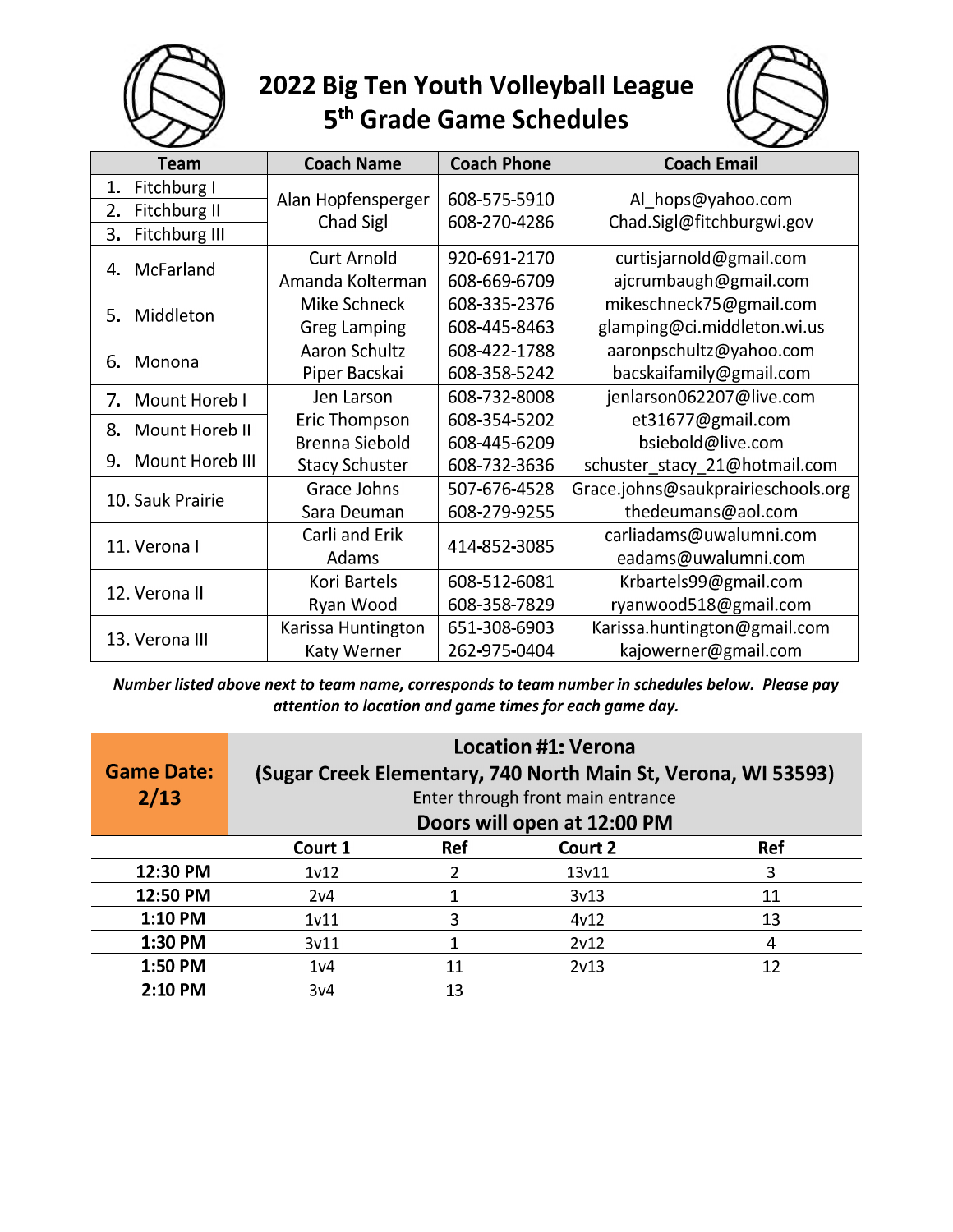

## 2022 Big Ten Youth Volleyball League<br>5<sup>th</sup> Grade Game Schedules



| Team                      | <b>Coach Name</b>     | <b>Coach Phone</b> | <b>Coach Email</b>                 |
|---------------------------|-----------------------|--------------------|------------------------------------|
| Fitchburg I<br>1.         | Alan Hopfensperger    | 608-575-5910       | Al_hops@yahoo.com                  |
| <b>Fitchburg II</b><br>2. |                       | 608-270-4286       |                                    |
| 3.<br>Fitchburg III       | Chad Sigl             |                    | Chad.Sigl@fitchburgwi.gov          |
| McFarland<br>4.           | <b>Curt Arnold</b>    | 920-691-2170       | curtisjarnold@gmail.com            |
|                           | Amanda Kolterman      | 608-669-6709       | ajcrumbaugh@gmail.com              |
| Middleton<br>5.           | <b>Mike Schneck</b>   | 608-335-2376       | mikeschneck75@gmail.com            |
|                           | <b>Greg Lamping</b>   | 608-445-8463       | glamping@ci.middleton.wi.us        |
| Monona<br>6.              | <b>Aaron Schultz</b>  | 608-422-1788       | aaronpschultz@yahoo.com            |
|                           | Piper Bacskai         | 608-358-5242       | bacskaifamily@gmail.com            |
| 7.<br>Mount Horeb I       | Jen Larson            | 608-732-8008       | jenlarson062207@live.com           |
| 8.<br>Mount Horeb II      | Eric Thompson         | 608-354-5202       | et31677@gmail.com                  |
|                           | <b>Brenna Siebold</b> | 608-445-6209       | bsiebold@live.com                  |
| Mount Horeb III<br>9.     | <b>Stacy Schuster</b> | 608-732-3636       | schuster_stacy_21@hotmail.com      |
| 10. Sauk Prairie          | Grace Johns           | 507-676-4528       | Grace.johns@saukprairieschools.org |
|                           | Sara Deuman           | 608-279-9255       | thedeumans@aol.com                 |
| 11. Verona l              | Carli and Erik        | 414-852-3085       | carliadams@uwalumni.com            |
|                           | Adams                 |                    | eadams@uwalumni.com                |
| 12. Verona II             | Kori Bartels          | 608-512-6081       | Krbartels99@gmail.com              |
|                           | Ryan Wood             | 608-358-7829       | ryanwood518@gmail.com              |
| 13. Verona III            | Karissa Huntington    | 651-308-6903       | Karissa.huntington@gmail.com       |
|                           | Katy Werner           | 262-975-0404       | kajowerner@gmail.com               |

Number listed above next to team name, corresponds to team number in schedules below. Please pay attention to location and game times for each game day.

| <b>Game Date:</b><br>2/13 | <b>Location #1: Verona</b><br>(Sugar Creek Elementary, 740 North Main St, Verona, WI 53593)<br>Enter through front main entrance<br>Doors will open at 12:00 PM |     |         |            |
|---------------------------|-----------------------------------------------------------------------------------------------------------------------------------------------------------------|-----|---------|------------|
|                           | Court 1                                                                                                                                                         | Ref | Court 2 | <b>Ref</b> |
| 12:30 PM                  | 1 <sub>v</sub> 12                                                                                                                                               |     | 13v11   | 3          |
| 12:50 PM                  | 2v <sub>4</sub>                                                                                                                                                 |     | 3v13    | 11         |
| 1:10 PM                   | 1 <sub>v11</sub>                                                                                                                                                |     | 4v12    | 13         |
| 1:30 PM                   | 3v11                                                                                                                                                            |     | 2v12    | 4          |
| 1:50 PM                   | 1 <sub>v</sub> 4                                                                                                                                                | 11  | 2v13    | 12         |
| 2:10 PM                   | 3v4                                                                                                                                                             | 13  |         |            |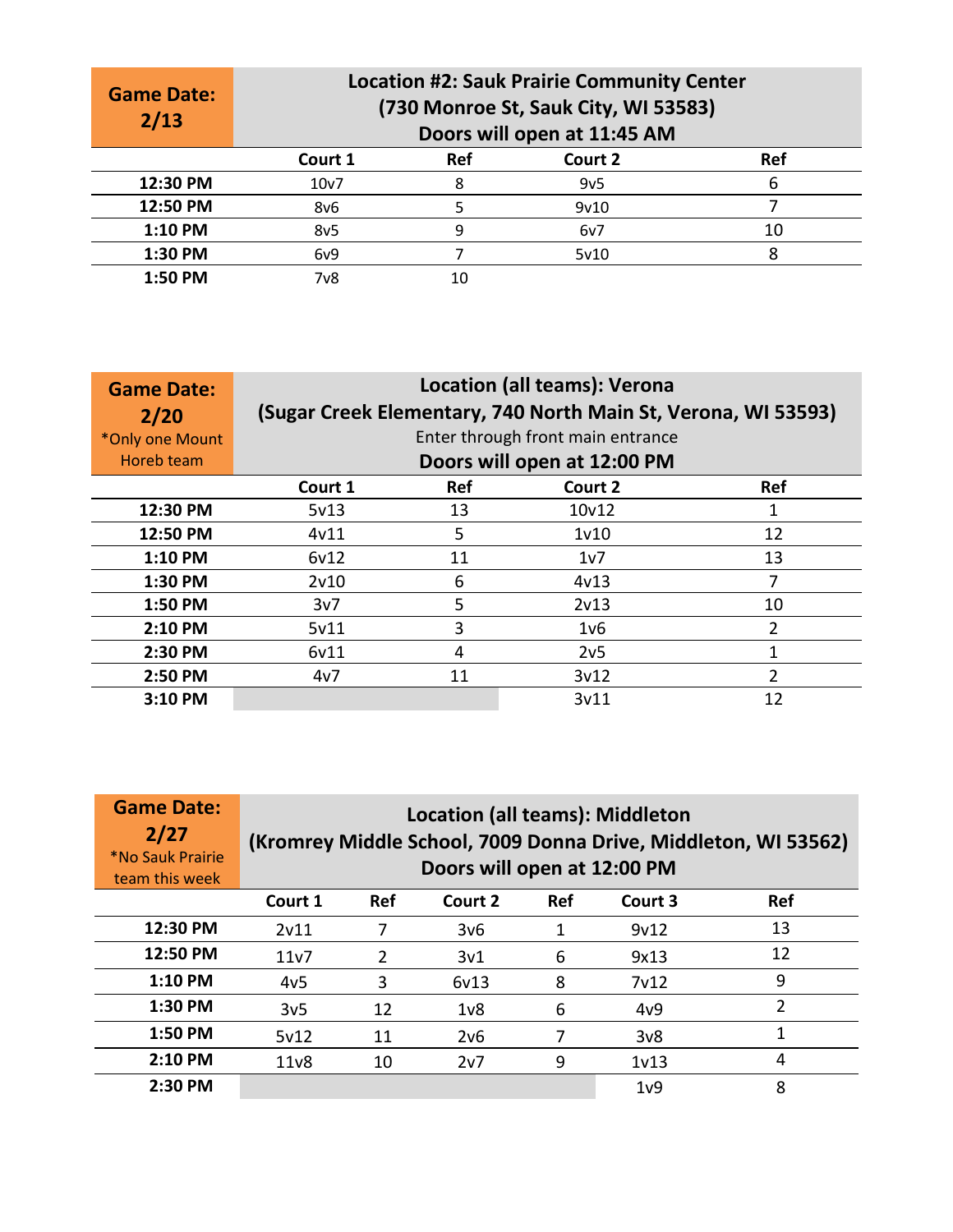| <b>Game Date:</b><br>2/13 |                 | <b>Location #2: Sauk Prairie Community Center</b><br>(730 Monroe St, Sauk City, WI 53583)<br>Doors will open at 11:45 AM |                 |            |  |  |
|---------------------------|-----------------|--------------------------------------------------------------------------------------------------------------------------|-----------------|------------|--|--|
|                           | Court 1         | <b>Ref</b>                                                                                                               | Court 2         | <b>Ref</b> |  |  |
| 12:30 PM                  | 10v7            | 8                                                                                                                        | 9v <sub>5</sub> | 6          |  |  |
| 12:50 PM                  | 8v6             |                                                                                                                          | 9v10            |            |  |  |
| 1:10 PM                   | 8v <sub>5</sub> | q                                                                                                                        | 6v7             | 10         |  |  |
| 1:30 PM                   | 6v9             |                                                                                                                          | 5v10            | 8          |  |  |
| 1:50 PM                   | 7v8             | 10                                                                                                                       |                 |            |  |  |

| <b>Game Date:</b><br>2/20     | <b>Location (all teams): Verona</b><br>(Sugar Creek Elementary, 740 North Main St, Verona, WI 53593)<br>Enter through front main entrance |                                     |                   |               |  |  |  |
|-------------------------------|-------------------------------------------------------------------------------------------------------------------------------------------|-------------------------------------|-------------------|---------------|--|--|--|
| *Only one Mount<br>Horeb team |                                                                                                                                           | Doors will open at 12:00 PM         |                   |               |  |  |  |
|                               | Court 1                                                                                                                                   | <b>Ref</b><br>Court 2<br><b>Ref</b> |                   |               |  |  |  |
| 12:30 PM                      | 5v13                                                                                                                                      | 13                                  | 10v12             |               |  |  |  |
| 12:50 PM                      | 4v11                                                                                                                                      | 5                                   | 1 <sub>v</sub> 10 | 12            |  |  |  |
| $1:10$ PM                     | 6v12                                                                                                                                      | 11                                  | 1v7               | 13            |  |  |  |
| 1:30 PM                       | 2v10                                                                                                                                      | 6                                   | 4v13              | 7             |  |  |  |
| 1:50 PM                       | 3v7                                                                                                                                       | 5                                   | 2v13              | 10            |  |  |  |
| $2:10$ PM                     | 5v11                                                                                                                                      | 3                                   | 1v6               | $\mathcal{P}$ |  |  |  |
| 2:30 PM                       | 6v11                                                                                                                                      | 4                                   | 2v <sub>5</sub>   |               |  |  |  |
| 2:50 PM                       | 4v7                                                                                                                                       | 2<br>11<br>3v12                     |                   |               |  |  |  |
| 3:10 PM                       |                                                                                                                                           |                                     | 3v11              | 12            |  |  |  |

| <b>Game Date:</b><br>2/27<br><i><b>*No Sauk Prairie</b></i><br>team this week | <b>Location (all teams): Middleton</b><br>(Kromrey Middle School, 7009 Donna Drive, Middleton, WI 53562)<br>Doors will open at 12:00 PM |            |                  |            |                   |            |
|-------------------------------------------------------------------------------|-----------------------------------------------------------------------------------------------------------------------------------------|------------|------------------|------------|-------------------|------------|
|                                                                               | Court 1                                                                                                                                 | <b>Ref</b> | Court 2          | <b>Ref</b> | Court 3           | <b>Ref</b> |
| 12:30 PM                                                                      | 2v11                                                                                                                                    |            | 3v6              | 1          | 9v12              | 13         |
| 12:50 PM                                                                      | 11v7                                                                                                                                    | 2          | 3v1              | 6          | 9x13              | 12         |
| $1:10$ PM                                                                     | 4v <sub>5</sub>                                                                                                                         | 3          | 6v13             | 8          | 7 <sub>v</sub> 12 | 9          |
| $1:30$ PM                                                                     | 3v <sub>5</sub>                                                                                                                         | 12         | 1 <sub>v</sub> 8 | 6          | 4v9               | 2          |
| 1:50 PM                                                                       | 5v12                                                                                                                                    | 11         | 2v6              |            | 3v8               | 1          |
| $2:10$ PM                                                                     | 11 <sub>v</sub> 8                                                                                                                       | 10         | 2v7              | 9          | 1 <sub>v</sub> 13 | 4          |
| 2:30 PM                                                                       |                                                                                                                                         |            |                  |            | 1 <sub>v</sub> 9  | 8          |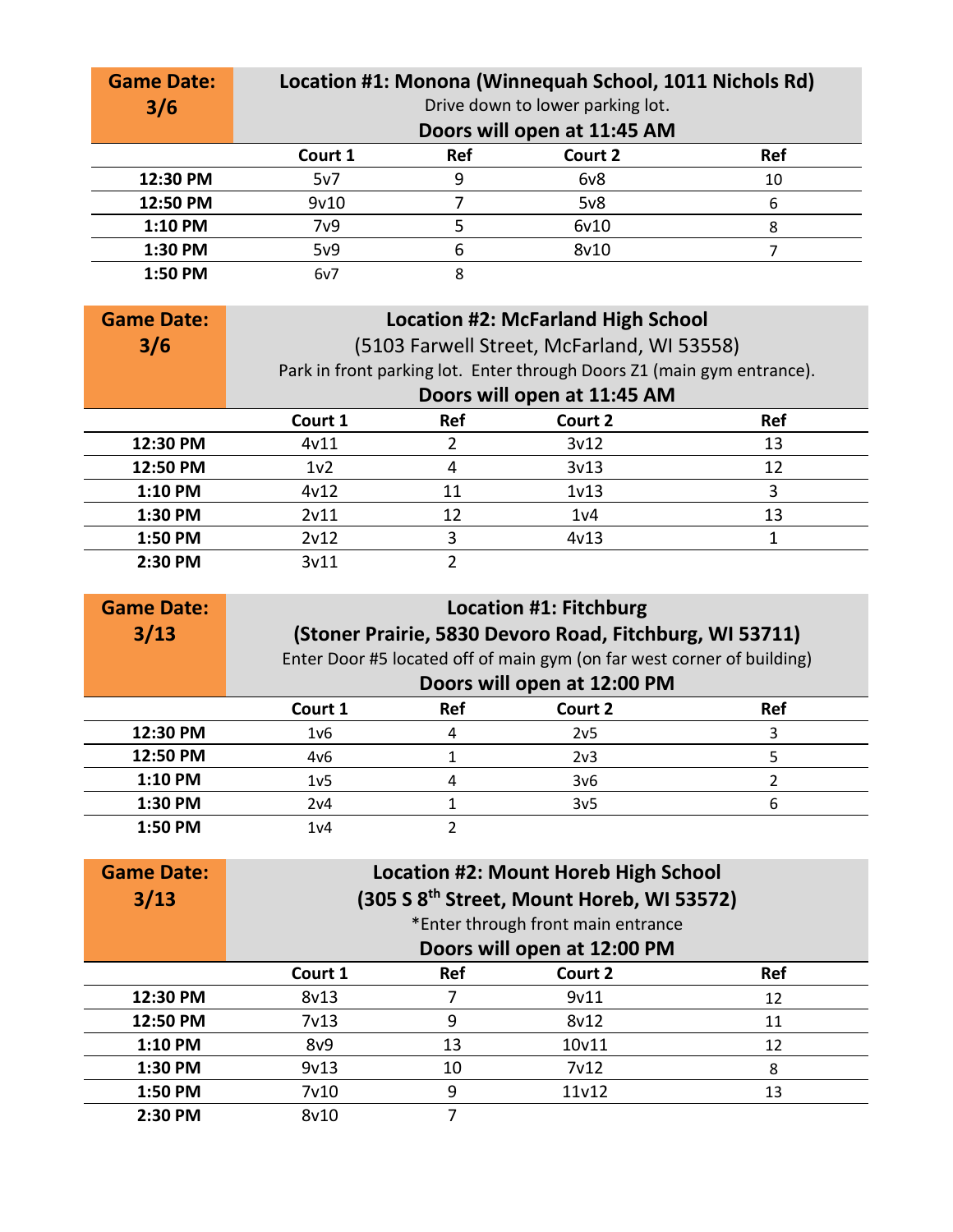| <b>Game Date:</b><br>3/6 |                                         | Location #1: Monona (Winnequah School, 1011 Nichols Rd)<br>Drive down to lower parking lot.<br>Doors will open at 11:45 AM |      |    |  |  |
|--------------------------|-----------------------------------------|----------------------------------------------------------------------------------------------------------------------------|------|----|--|--|
|                          | Ref<br><b>Ref</b><br>Court 2<br>Court 1 |                                                                                                                            |      |    |  |  |
| 12:30 PM                 | 5v7                                     | 9                                                                                                                          | 6v8  | 10 |  |  |
| 12:50 PM                 | 9v10                                    |                                                                                                                            | 5v8  | 6  |  |  |
| 1:10 PM                  | 7 <sub>v</sub> 9                        |                                                                                                                            | 6v10 | 8  |  |  |
| 1:30 PM                  | 5v9                                     | 6                                                                                                                          | 8v10 |    |  |  |
| 1:50 PM                  | 6v7                                     | 8                                                                                                                          |      |    |  |  |

| <b>Game Date:</b> | <b>Location #2: McFarland High School</b> |                                                                        |                             |     |  |  |
|-------------------|-------------------------------------------|------------------------------------------------------------------------|-----------------------------|-----|--|--|
| 3/6               |                                           | (5103 Farwell Street, McFarland, WI 53558)                             |                             |     |  |  |
|                   |                                           | Park in front parking lot. Enter through Doors Z1 (main gym entrance). |                             |     |  |  |
|                   |                                           |                                                                        | Doors will open at 11:45 AM |     |  |  |
|                   | Court 1                                   | <b>Ref</b>                                                             | Court 2                     | Ref |  |  |
| 12:30 PM          | 4v11                                      |                                                                        | 3v12                        | 13  |  |  |
| 12:50 PM          | 1 <sub>v2</sub>                           |                                                                        | 3v13                        | 12  |  |  |
| 1:10 PM           | 4v12                                      | 11                                                                     | 1 <sub>v</sub> 13           | 3   |  |  |
| 1:30 PM           | 2v11                                      | 12                                                                     | 1 <sub>v</sub> 4            | 13  |  |  |
| 1:50 PM           | 2v12                                      | 3                                                                      | 4v13                        |     |  |  |
| 2:30 PM           | 3v11                                      |                                                                        |                             |     |  |  |

| <b>Game Date:</b><br>3/13 | <b>Location #1: Fitchburg</b><br>(Stoner Prairie, 5830 Devoro Road, Fitchburg, WI 53711)<br>Enter Door #5 located off of main gym (on far west corner of building)<br>Doors will open at 12:00 PM |            |                 |            |
|---------------------------|---------------------------------------------------------------------------------------------------------------------------------------------------------------------------------------------------|------------|-----------------|------------|
|                           | Court 1                                                                                                                                                                                           | <b>Ref</b> | Court 2         | <b>Ref</b> |
| 12:30 PM                  | 1 <sub>v</sub> 6                                                                                                                                                                                  |            | 2v <sub>5</sub> | 3          |
| 12:50 PM                  | 4v6                                                                                                                                                                                               |            | 2 <sub>v3</sub> | 5          |
| 1:10 PM                   | 1 <sub>v</sub> 5                                                                                                                                                                                  |            | 3v6             |            |
| 1:30 PM                   | 2v4                                                                                                                                                                                               |            | 3v <sub>5</sub> | 6          |
| 1:50 PM                   | 1 <sub>v</sub> 4                                                                                                                                                                                  |            |                 |            |

| <b>Game Date:</b><br>3/13 | <b>Location #2: Mount Horeb High School</b><br>(305 S 8 <sup>th</sup> Street, Mount Horeb, WI 53572) |                                                                   |                   |            |  |
|---------------------------|------------------------------------------------------------------------------------------------------|-------------------------------------------------------------------|-------------------|------------|--|
|                           |                                                                                                      | *Enter through front main entrance<br>Doors will open at 12:00 PM |                   |            |  |
|                           | Court 1                                                                                              | <b>Ref</b>                                                        | Court 2           | <b>Ref</b> |  |
| 12:30 PM                  | 8v13                                                                                                 |                                                                   | 9v11              | 12         |  |
| 12:50 PM                  | 7 <sub>v</sub> 13                                                                                    | 9                                                                 | 8v12              | 11         |  |
| 1:10 PM                   | 8v9                                                                                                  | 13                                                                | 10v11             | 12         |  |
| 1:30 PM                   | 9v13                                                                                                 | 10                                                                | 7 <sub>v</sub> 12 | 8          |  |
| 1:50 PM                   | 7 <sub>v</sub> 10                                                                                    | 9                                                                 | 11v12             | 13         |  |
| 2:30 PM                   | 8v10                                                                                                 |                                                                   |                   |            |  |